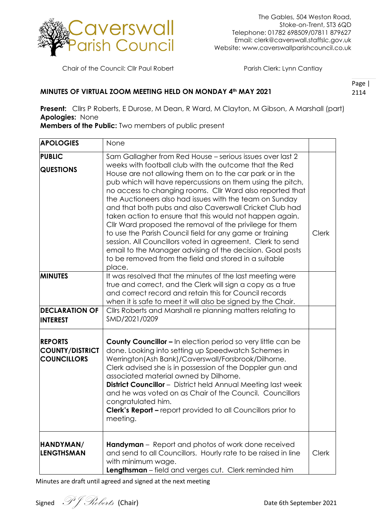

Chair of the Council: Cllr Paul Robert Parish Clerk: Lynn Cantlay

## **MINUTES OF VIRTUAL ZOOM MEETING HELD ON MONDAY 4th MAY 2021**

Page | 2114

**Present:** Cllrs P Roberts, E Durose, M Dean, R Ward, M Clayton, M Gibson, A Marshall (part) **Apologies:** None

**Members of the Public:** Two members of public present

| <b>APOLOGIES</b>                                               | None                                                                                                                                                                                                                                                                                                                                                                                                                                                                                                                                                                                                                                                                                                                                                                                                               |              |
|----------------------------------------------------------------|--------------------------------------------------------------------------------------------------------------------------------------------------------------------------------------------------------------------------------------------------------------------------------------------------------------------------------------------------------------------------------------------------------------------------------------------------------------------------------------------------------------------------------------------------------------------------------------------------------------------------------------------------------------------------------------------------------------------------------------------------------------------------------------------------------------------|--------------|
| <b>PUBLIC</b><br><b>QUESTIONS</b>                              | Sam Gallagher from Red House - serious issues over last 2<br>weeks with football club with the outcome that the Red<br>House are not allowing them on to the car park or in the<br>pub which will have repercussions on them using the pitch,<br>no access to changing rooms. Cllr Ward also reported that<br>the Auctioneers also had issues with the team on Sunday<br>and that both pubs and also Caverswall Cricket Club had<br>taken action to ensure that this would not happen again.<br>Cllr Ward proposed the removal of the privilege for them<br>to use the Parish Council field for any game or training<br>session. All Councillors voted in agreement. Clerk to send<br>email to the Manager advising of the decision. Goal posts<br>to be removed from the field and stored in a suitable<br>place. | <b>Clerk</b> |
| <b>MINUTES</b><br><b>DECLARATION OF</b>                        | It was resolved that the minutes of the last meeting were<br>true and correct, and the Clerk will sign a copy as a true<br>and correct record and retain this for Council records<br>when it is safe to meet it will also be signed by the Chair.<br>Cllrs Roberts and Marshall re planning matters relating to                                                                                                                                                                                                                                                                                                                                                                                                                                                                                                    |              |
| <b>INTEREST</b>                                                | SMD/2021/0209                                                                                                                                                                                                                                                                                                                                                                                                                                                                                                                                                                                                                                                                                                                                                                                                      |              |
| <b>REPORTS</b><br><b>COUNTY/DISTRICT</b><br><b>COUNCILLORS</b> | <b>County Councillor - In election period so very little can be</b><br>done. Looking into setting up Speedwatch Schemes in<br>Werrington(Ash Bank)/Caverswall/Forsbrook/Dilhorne.<br>Clerk advised she is in possession of the Doppler gun and<br>associated material owned by Dilhorne.<br><b>District Councillor</b> - District held Annual Meeting last week<br>and he was voted on as Chair of the Council. Councillors<br>congratulated him.<br><b>Clerk's Report - report provided to all Councillors prior to</b><br>meeting.                                                                                                                                                                                                                                                                               |              |
| HANDYMAN/<br><b>LENGTHSMAN</b>                                 | <b>Handyman</b> – Report and photos of work done received<br>and send to all Councillors. Hourly rate to be raised in line<br>with minimum wage.<br>Lengthsman - field and verges cut. Clerk reminded him                                                                                                                                                                                                                                                                                                                                                                                                                                                                                                                                                                                                          | <b>Clerk</b> |

Signed  $\mathscr{P}$   $\mathscr{F}$   $\mathscr{R}$   $\ell$  (Chair)  $\ell$  ate 6th September 2021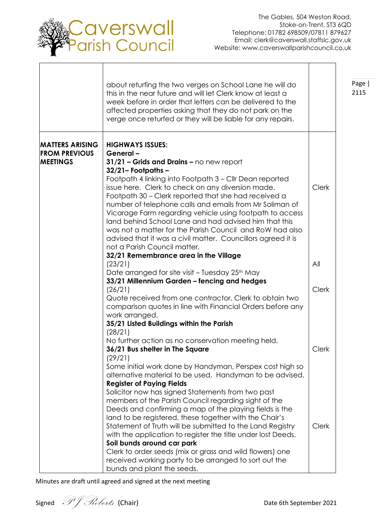

Page | 2115

٦

┯

|                                                                   | about returfing the two verges on School Lane he will do<br>this in the near future and will let Clerk know at least a<br>week before in order that letters can be delivered to the<br>affected properties asking that they do not park on the<br>verge once returfed or they will be liable for any repairs.                                                                                                                                                                                                                                                                                                                  |              |
|-------------------------------------------------------------------|--------------------------------------------------------------------------------------------------------------------------------------------------------------------------------------------------------------------------------------------------------------------------------------------------------------------------------------------------------------------------------------------------------------------------------------------------------------------------------------------------------------------------------------------------------------------------------------------------------------------------------|--------------|
| <b>MATTERS ARISING</b><br><b>FROM PREVIOUS</b><br><b>MEETINGS</b> | <b>HIGHWAYS ISSUES:</b><br>General-<br>31/21 - Grids and Drains - no new report<br>$32/21 -$ Footpaths $-$<br>Footpath 4 linking into Footpath 3 - Cllr Dean reported<br>issue here. Clerk to check on any diversion made.<br>Footpath 30 – Clerk reported that she had received a<br>number of telephone calls and emails from Mr Soliman of<br>Vicarage Farm regarding vehicle using footpath to access<br>land behind School Lane and had advised him that this<br>was not a matter for the Parish Council and RoW had also<br>advised that it was a civil matter. Councillors agreed it is<br>not a Parish Council matter. | <b>Clerk</b> |
|                                                                   | 32/21 Remembrance area in the Village<br>(23/21)                                                                                                                                                                                                                                                                                                                                                                                                                                                                                                                                                                               | All          |
|                                                                   | Date arranged for site visit – Tuesday 25 <sup>th</sup> May<br>33/21 Millennium Garden - fencing and hedges<br>(26/21)<br>Quote received from one contractor, Clerk to obtain two<br>comparison quotes in line with Financial Orders before any<br>work arranged.<br>35/21 Listed Buildings within the Parish<br>(28/21)                                                                                                                                                                                                                                                                                                       | <b>Clerk</b> |
|                                                                   | No further action as no conservation meeting held.<br>36/21 Bus shelter in The Square<br>(29/21)<br>Some initial work done by Handyman, Perspex cost high so<br>alternative material to be used, Handyman to be advised.                                                                                                                                                                                                                                                                                                                                                                                                       | Clerk        |
|                                                                   | <b>Register of Paying Fields</b><br>Solicitor now has signed Statements from two past<br>members of the Parish Council regarding sight of the<br>Deeds and confirming a map of the playing fields is the<br>land to be registered, these together with the Chair's<br>Statement of Truth will be submitted to the Land Registry<br>with the application to register the title under lost Deeds.<br>Soil bunds around car park<br>Clerk to order seeds (mix or grass and wild flowers) one<br>received working party to be arranged to sort out the<br>bunds and plant the seeds.                                               | <b>Clerk</b> |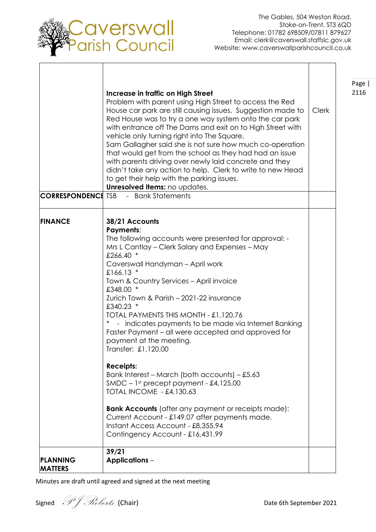

 $\overline{\phantom{a}}$ 

Page |

٦

Τ

| <b>CORRESPONDENCE TSB</b>         | Increase in traffic on High Street<br>Problem with parent using High Street to access the Red<br>House car park are still causing issues. Suggestion made to<br>Red House was to try a one way system onto the car park<br>with entrance off The Dams and exit on to High Street with<br>vehicle only turning right into The Square.<br>Sam Gallagher said she is not sure how much co-operation<br>that would get from the school as they had had an issue<br>with parents driving over newly laid concrete and they<br>didn't take any action to help. Clerk to write to new Head<br>to get their help with the parking issues.<br>Unresolved Items: no updates.<br>- Bank Statements                                                                                                                                                                                                             | <b>Clerk</b> | Page<br>2116 |
|-----------------------------------|-----------------------------------------------------------------------------------------------------------------------------------------------------------------------------------------------------------------------------------------------------------------------------------------------------------------------------------------------------------------------------------------------------------------------------------------------------------------------------------------------------------------------------------------------------------------------------------------------------------------------------------------------------------------------------------------------------------------------------------------------------------------------------------------------------------------------------------------------------------------------------------------------------|--------------|--------------|
| <b>FINANCE</b>                    | 38/21 Accounts<br><b>Payments:</b><br>The following accounts were presented for approval: -<br>Mrs L Cantlay – Clerk Salary and Expenses – May<br>£266.40 *<br>Caverswall Handyman - April work<br>£166.13 $*$<br>Town & Country Services - April invoice<br>£348.00 *<br>Zurich Town & Parish - 2021-22 insurance<br>£340.23 *<br>TOTAL PAYMENTS THIS MONTH - £1,120.76<br>- indicates payments to be made via Internet Banking<br>Faster Payment - all were accepted and approved for<br>payment at the meeting.<br>Transfer: £1,120.00<br><b>Receipts:</b><br>Bank Interest - March (both accounts) - £5.63<br>$SMDC - 1$ <sup>st</sup> precept payment - £4,125.00<br><b>TOTAL INCOME - £4,130.63</b><br><b>Bank Accounts</b> (after any payment or receipts made):<br>Current Account - £149.07 after payments made.<br>Instant Access Account - £8,355.94<br>Contingency Account - £16,431.99 |              |              |
| <b>PLANNING</b><br><b>MATTERS</b> | 39/21<br><b>Applications –</b>                                                                                                                                                                                                                                                                                                                                                                                                                                                                                                                                                                                                                                                                                                                                                                                                                                                                      |              |              |